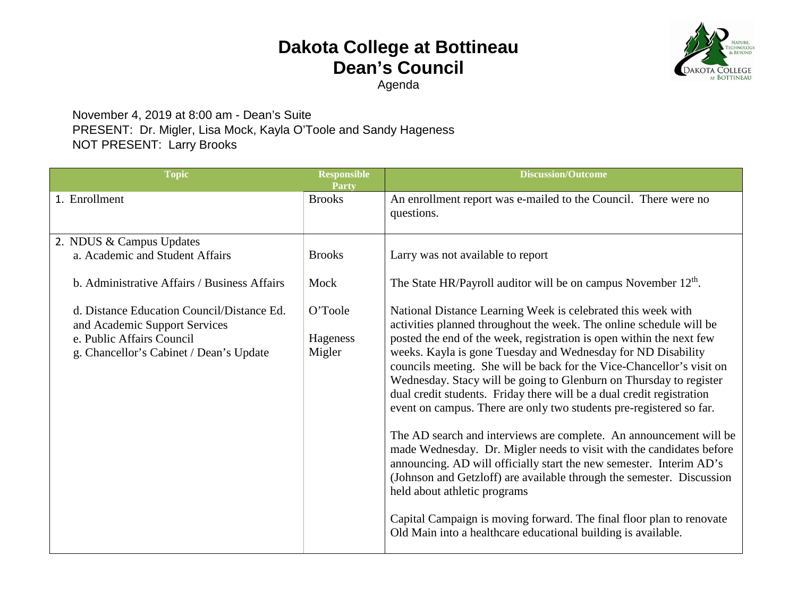## **Dakota College at Bottineau Dean's Council**



**NOLOG** 

Agenda

## November 4, 2019 at 8:00 am - Dean's Suite PRESENT: Dr. Migler, Lisa Mock, Kayla O'Toole and Sandy Hageness NOT PRESENT: Larry Brooks

| <b>Topic</b>                                                                | <b>Responsible</b><br>Party | <b>Discussion/Outcome</b>                                                                                                                                                                                                                                                                                                                                                                                                                                                                                                                                                                                                                                                                                                                                                                                                                                                                                  |
|-----------------------------------------------------------------------------|-----------------------------|------------------------------------------------------------------------------------------------------------------------------------------------------------------------------------------------------------------------------------------------------------------------------------------------------------------------------------------------------------------------------------------------------------------------------------------------------------------------------------------------------------------------------------------------------------------------------------------------------------------------------------------------------------------------------------------------------------------------------------------------------------------------------------------------------------------------------------------------------------------------------------------------------------|
| 1. Enrollment                                                               | <b>Brooks</b>               | An enrollment report was e-mailed to the Council. There were no<br>questions.                                                                                                                                                                                                                                                                                                                                                                                                                                                                                                                                                                                                                                                                                                                                                                                                                              |
| 2. NDUS & Campus Updates                                                    |                             |                                                                                                                                                                                                                                                                                                                                                                                                                                                                                                                                                                                                                                                                                                                                                                                                                                                                                                            |
| a. Academic and Student Affairs                                             | <b>Brooks</b>               | Larry was not available to report                                                                                                                                                                                                                                                                                                                                                                                                                                                                                                                                                                                                                                                                                                                                                                                                                                                                          |
| b. Administrative Affairs / Business Affairs                                | Mock                        | The State HR/Payroll auditor will be on campus November 12 <sup>th</sup> .                                                                                                                                                                                                                                                                                                                                                                                                                                                                                                                                                                                                                                                                                                                                                                                                                                 |
| d. Distance Education Council/Distance Ed.<br>and Academic Support Services | O'Toole                     | National Distance Learning Week is celebrated this week with<br>activities planned throughout the week. The online schedule will be                                                                                                                                                                                                                                                                                                                                                                                                                                                                                                                                                                                                                                                                                                                                                                        |
| e. Public Affairs Council<br>g. Chancellor's Cabinet / Dean's Update        | Hageness<br>Migler          | posted the end of the week, registration is open within the next few<br>weeks. Kayla is gone Tuesday and Wednesday for ND Disability<br>councils meeting. She will be back for the Vice-Chancellor's visit on<br>Wednesday. Stacy will be going to Glenburn on Thursday to register<br>dual credit students. Friday there will be a dual credit registration<br>event on campus. There are only two students pre-registered so far.<br>The AD search and interviews are complete. An announcement will be<br>made Wednesday. Dr. Migler needs to visit with the candidates before<br>announcing. AD will officially start the new semester. Interim AD's<br>(Johnson and Getzloff) are available through the semester. Discussion<br>held about athletic programs<br>Capital Campaign is moving forward. The final floor plan to renovate<br>Old Main into a healthcare educational building is available. |